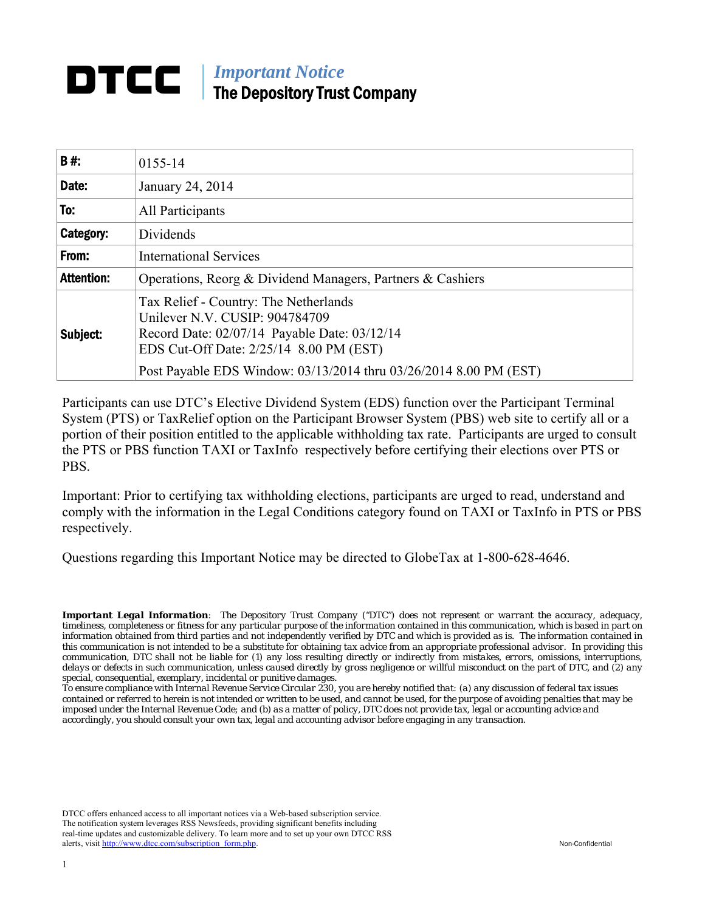# *Important Notice*  The Depository Trust Company

| B#:               | 0155-14                                                                                                                                                                                                                                 |
|-------------------|-----------------------------------------------------------------------------------------------------------------------------------------------------------------------------------------------------------------------------------------|
| Date:             | January 24, 2014                                                                                                                                                                                                                        |
| To:               | All Participants                                                                                                                                                                                                                        |
| Category:         | Dividends                                                                                                                                                                                                                               |
| From:             | <b>International Services</b>                                                                                                                                                                                                           |
| <b>Attention:</b> | Operations, Reorg & Dividend Managers, Partners & Cashiers                                                                                                                                                                              |
| Subject:          | Tax Relief - Country: The Netherlands<br>Unilever N.V. CUSIP: 904784709<br>Record Date: 02/07/14 Payable Date: 03/12/14<br>EDS Cut-Off Date: 2/25/14 8.00 PM (EST)<br>Post Payable EDS Window: 03/13/2014 thru 03/26/2014 8.00 PM (EST) |

Participants can use DTC's Elective Dividend System (EDS) function over the Participant Terminal System (PTS) or TaxRelief option on the Participant Browser System (PBS) web site to certify all or a portion of their position entitled to the applicable withholding tax rate. Participants are urged to consult the PTS or PBS function TAXI or TaxInfo respectively before certifying their elections over PTS or PBS.

Important: Prior to certifying tax withholding elections, participants are urged to read, understand and comply with the information in the Legal Conditions category found on TAXI or TaxInfo in PTS or PBS respectively.

Questions regarding this Important Notice may be directed to GlobeTax at 1-800-628-4646.

*Important Legal Information: The Depository Trust Company ("DTC") does not represent or warrant the accuracy, adequacy, timeliness, completeness or fitness for any particular purpose of the information contained in this communication, which is based in part on information obtained from third parties and not independently verified by DTC and which is provided as is. The information contained in this communication is not intended to be a substitute for obtaining tax advice from an appropriate professional advisor. In providing this communication, DTC shall not be liable for (1) any loss resulting directly or indirectly from mistakes, errors, omissions, interruptions, delays or defects in such communication, unless caused directly by gross negligence or willful misconduct on the part of DTC, and (2) any special, consequential, exemplary, incidental or punitive damages.* 

*To ensure compliance with Internal Revenue Service Circular 230, you are hereby notified that: (a) any discussion of federal tax issues contained or referred to herein is not intended or written to be used, and cannot be used, for the purpose of avoiding penalties that may be imposed under the Internal Revenue Code; and (b) as a matter of policy, DTC does not provide tax, legal or accounting advice and accordingly, you should consult your own tax, legal and accounting advisor before engaging in any transaction.*

DTCC offers enhanced access to all important notices via a Web-based subscription service. The notification system leverages RSS Newsfeeds, providing significant benefits including real-time updates and customizable delivery. To learn more and to set up your own DTCC RSS alerts, visit http://www.dtcc.com/subscription\_form.php. Non-Confidential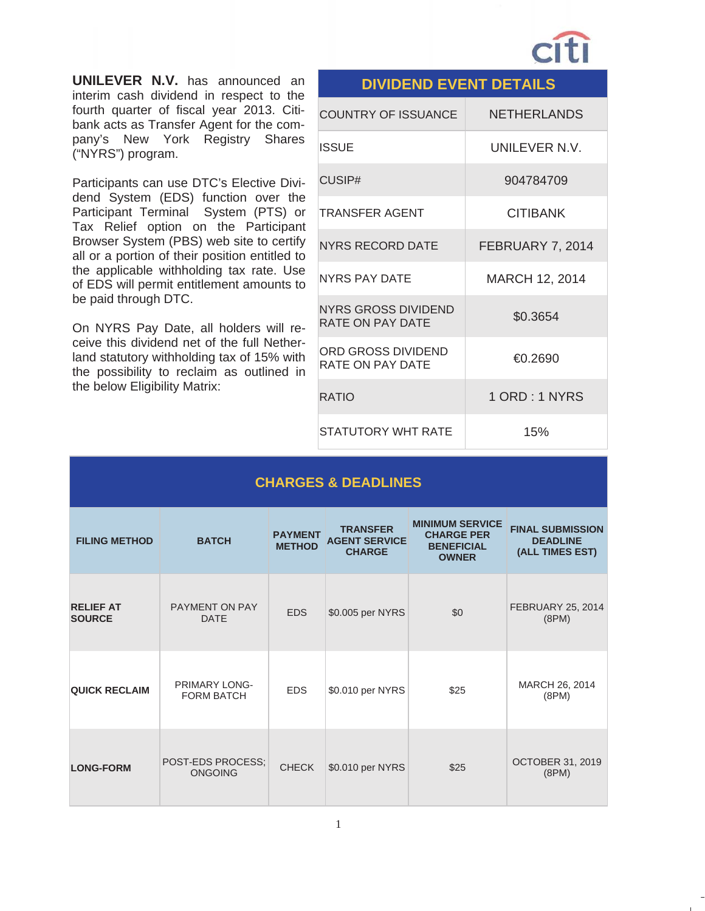

**UNILEVER N.V.** has announced an interim cash dividend in respect to the fourth quarter of fiscal year 2013. Citibank acts as Transfer Agent for the company's New York Registry Shares ("NYRS") program.

Participants can use DTC's Elective Dividend System (EDS) function over the Participant Terminal System (PTS) or Tax Relief option on the Participant Browser System (PBS) web site to certify all or a portion of their position entitled to the applicable withholding tax rate. Use of EDS will permit entitlement amounts to be paid through DTC.

On NYRS Pay Date, all holders will receive this dividend net of the full Netherland statutory withholding tax of 15% with the possibility to reclaim as outlined in the below Eligibility Matrix:

|                                                       | <b>DIVIDEND EVENT DETAILS</b> |  |  |  |  |
|-------------------------------------------------------|-------------------------------|--|--|--|--|
| <b>COUNTRY OF ISSUANCE</b>                            | <b>NETHERLANDS</b>            |  |  |  |  |
| <b>ISSUE</b>                                          | UNII FVFR N.V.                |  |  |  |  |
| CUSIP#                                                | 904784709                     |  |  |  |  |
| TRANSFER AGENT                                        | <b>CITIBANK</b>               |  |  |  |  |
| <b>NYRS RECORD DATE</b>                               | FEBRUARY 7, 2014              |  |  |  |  |
| <b>NYRS PAY DATE</b>                                  | MARCH 12, 2014                |  |  |  |  |
| <b>NYRS GROSS DIVIDEND</b><br><b>RATE ON PAY DATE</b> | \$0.3654                      |  |  |  |  |
| ORD GROSS DIVIDEND<br>RATE ON PAY DATE                | €0.2690                       |  |  |  |  |
| <b>RATIO</b>                                          | 1 ORD: 1 NYRS                 |  |  |  |  |
| STATUTORY WHT RATE                                    | 15%                           |  |  |  |  |

### **CHARGES & DEADLINES**

| <b>FILING METHOD</b>              | <b>BATCH</b>                              | <b>PAYMENT</b><br><b>METHOD</b> | <b>TRANSFER</b><br><b>AGENT SERVICE</b><br><b>CHARGE</b> | <b>MINIMUM SERVICE</b><br><b>CHARGE PER</b><br><b>BENEFICIAL</b><br><b>OWNER</b> | <b>FINAL SUBMISSION</b><br><b>DEADLINE</b><br>(ALL TIMES EST) |
|-----------------------------------|-------------------------------------------|---------------------------------|----------------------------------------------------------|----------------------------------------------------------------------------------|---------------------------------------------------------------|
| <b>RELIEF AT</b><br><b>SOURCE</b> | <b>PAYMENT ON PAY</b><br><b>DATE</b>      | <b>EDS</b>                      | \$0.005 per NYRS                                         | \$0                                                                              | <b>FEBRUARY 25, 2014</b><br>(8PM)                             |
| <b>QUICK RECLAIM</b>              | <b>PRIMARY LONG-</b><br><b>FORM BATCH</b> | <b>EDS</b>                      | \$0.010 per NYRS                                         | \$25                                                                             | MARCH 26, 2014<br>(8PM)                                       |
| <b>LONG-FORM</b>                  | POST-EDS PROCESS:<br><b>ONGOING</b>       | <b>CHECK</b>                    | \$0.010 per NYRS                                         | \$25                                                                             | <b>OCTOBER 31, 2019</b><br>(8PM)                              |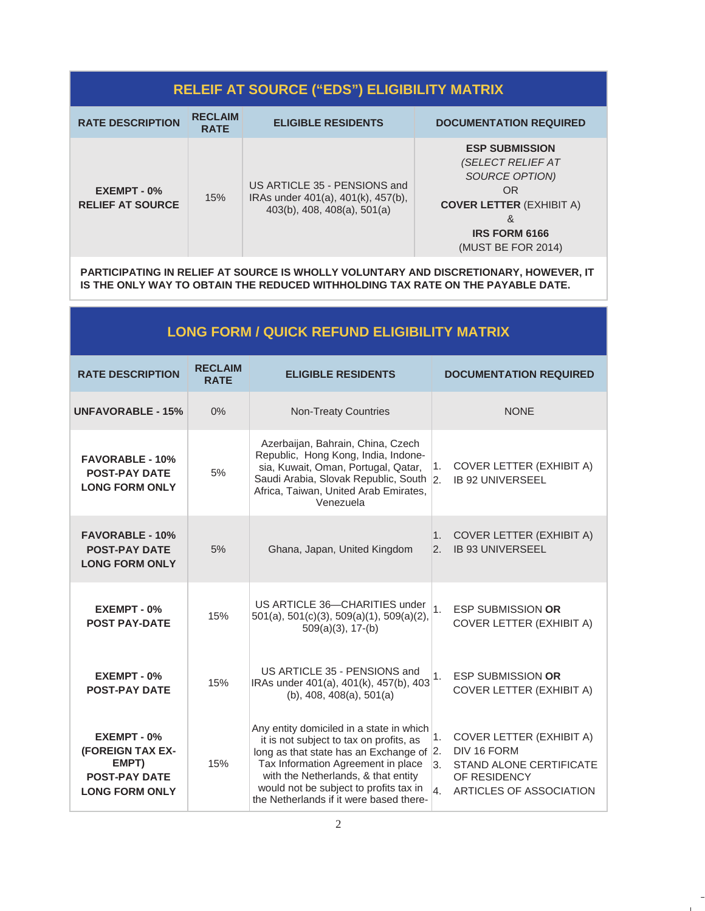## **RELEIF AT SOURCE ("EDS") ELIGIBILITY MATRIX**

| <b>RATE DESCRIPTION</b>                | <b>RECLAIM</b><br><b>RATE</b> | <b>ELIGIBLE RESIDENTS</b>                                                                         | <b>DOCUMENTATION REQUIRED</b>                                                                                                                                   |
|----------------------------------------|-------------------------------|---------------------------------------------------------------------------------------------------|-----------------------------------------------------------------------------------------------------------------------------------------------------------------|
| EXEMPT - 0%<br><b>RELIEF AT SOURCE</b> | 15%                           | US ARTICLE 35 - PENSIONS and<br>IRAs under 401(a), 401(k), 457(b),<br>403(b), 408, 408(a), 501(a) | <b>ESP SUBMISSION</b><br><i>(SELECT RELIEF AT</i><br>SOURCE OPTION)<br>OR<br><b>COVER LETTER (EXHIBIT A)</b><br>&<br><b>IRS FORM 6166</b><br>(MUST BE FOR 2014) |

**PARTICIPATING IN RELIEF AT SOURCE IS WHOLLY VOLUNTARY AND DISCRETIONARY, HOWEVER, IT IS THE ONLY WAY TO OBTAIN THE REDUCED WITHHOLDING TAX RATE ON THE PAYABLE DATE.** 

| <b>LONG FORM / QUICK REFUND ELIGIBILITY MATRIX</b>                                        |                               |                                                                                                                                                                                                                                                                                                       |                                                                                                                                        |  |  |
|-------------------------------------------------------------------------------------------|-------------------------------|-------------------------------------------------------------------------------------------------------------------------------------------------------------------------------------------------------------------------------------------------------------------------------------------------------|----------------------------------------------------------------------------------------------------------------------------------------|--|--|
| <b>RATE DESCRIPTION</b>                                                                   | <b>RECLAIM</b><br><b>RATE</b> | <b>ELIGIBLE RESIDENTS</b>                                                                                                                                                                                                                                                                             | <b>DOCUMENTATION REQUIRED</b>                                                                                                          |  |  |
| <b>UNFAVORABLE - 15%</b>                                                                  | 0%                            | <b>Non-Treaty Countries</b>                                                                                                                                                                                                                                                                           | <b>NONE</b>                                                                                                                            |  |  |
| <b>FAVORABLE - 10%</b><br><b>POST-PAY DATE</b><br><b>LONG FORM ONLY</b>                   | 5%                            | Azerbaijan, Bahrain, China, Czech<br>Republic, Hong Kong, India, Indone-<br>sia, Kuwait, Oman, Portugal, Qatar,<br>Saudi Arabia, Slovak Republic, South 2.<br>Africa, Taiwan, United Arab Emirates,<br>Venezuela                                                                                      | <b>COVER LETTER (EXHIBIT A)</b><br>1.<br><b>IB 92 UNIVERSEEL</b>                                                                       |  |  |
| <b>FAVORABLE - 10%</b><br><b>POST-PAY DATE</b><br><b>LONG FORM ONLY</b>                   | 5%                            | Ghana, Japan, United Kingdom                                                                                                                                                                                                                                                                          | <b>COVER LETTER (EXHIBIT A)</b><br>1.<br><b>IB 93 UNIVERSEEL</b><br>$\overline{2}$ .                                                   |  |  |
| $EXEMENT - 0$ %<br><b>POST PAY-DATE</b>                                                   | 15%                           | US ARTICLE 36-CHARITIES under<br>501(a), 501(c)(3), 509(a)(1), 509(a)(2),<br>$509(a)(3)$ , 17-(b)                                                                                                                                                                                                     | $\overline{1}$ .<br><b>ESP SUBMISSION OR</b><br>COVER LETTER (EXHIBIT A)                                                               |  |  |
| EXEMPT - 0%<br><b>POST-PAY DATE</b>                                                       | 15%                           | US ARTICLE 35 - PENSIONS and<br>IRAs under 401(a), 401(k), 457(b), 403<br>$(b)$ , 408, 408 $(a)$ , 501 $(a)$                                                                                                                                                                                          | <b>ESP SUBMISSION OR</b><br>1.<br>COVER LETTER (EXHIBIT A)                                                                             |  |  |
| EXEMPT - 0%<br>(FOREIGN TAX EX-<br>EMPT)<br><b>POST-PAY DATE</b><br><b>LONG FORM ONLY</b> | 15%                           | Any entity domiciled in a state in which<br>it is not subject to tax on profits, as<br>long as that state has an Exchange of $ 2$ .<br>Tax Information Agreement in place<br>with the Netherlands, & that entity<br>would not be subject to profits tax in<br>the Netherlands if it were based there- | <b>COVER LETTER (EXHIBIT A)</b><br>1.<br>DIV 16 FORM<br>3.<br>STAND ALONE CERTIFICATE<br>OF RESIDENCY<br>4.<br>ARTICLES OF ASSOCIATION |  |  |

 $\mathbf{I}$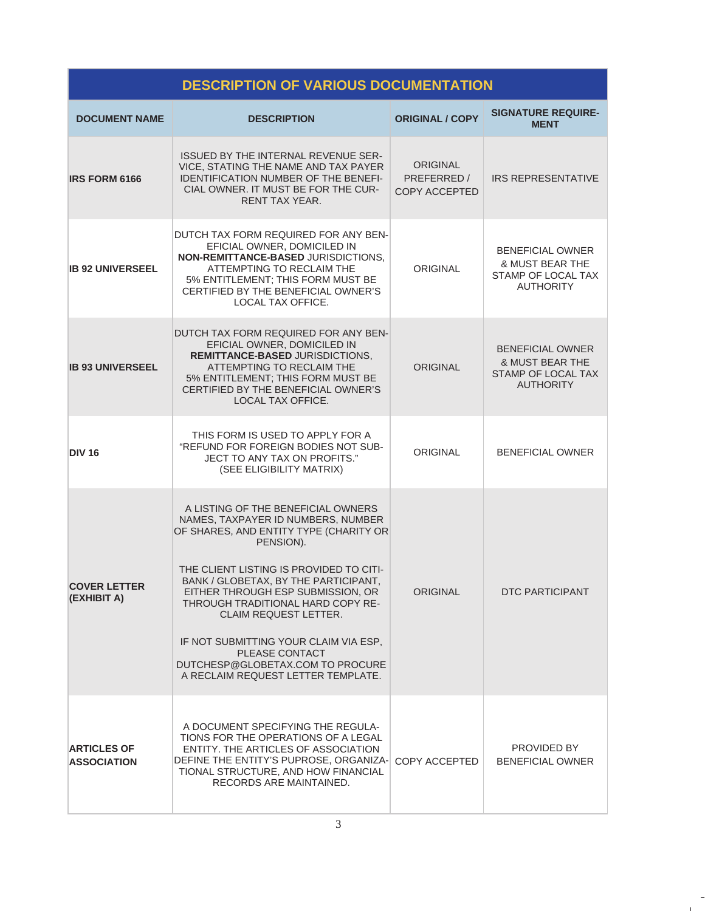## **DESCRIPTION OF VARIOUS DOCUMENTATION**

| <b>DOCUMENT NAME</b>                     | <b>DESCRIPTION</b>                                                                                                                                                                                                                                                                                                                                                                                                                                         | <b>ORIGINAL / COPY</b>                          | <b>SIGNATURE REQUIRE-</b><br><b>MENT</b>                                                        |
|------------------------------------------|------------------------------------------------------------------------------------------------------------------------------------------------------------------------------------------------------------------------------------------------------------------------------------------------------------------------------------------------------------------------------------------------------------------------------------------------------------|-------------------------------------------------|-------------------------------------------------------------------------------------------------|
| <b>IRS FORM 6166</b>                     | ISSUED BY THE INTERNAL REVENUE SER-<br>VICE, STATING THE NAME AND TAX PAYER<br>IDENTIFICATION NUMBER OF THE BENEFI-<br>CIAL OWNER. IT MUST BE FOR THE CUR-<br>RENT TAX YEAR.                                                                                                                                                                                                                                                                               | ORIGINAL<br>PREFERRED /<br><b>COPY ACCEPTED</b> | <b>IRS REPRESENTATIVE</b>                                                                       |
| <b>IB 92 UNIVERSEEL</b>                  | DUTCH TAX FORM REQUIRED FOR ANY BEN-<br>EFICIAL OWNER, DOMICILED IN<br>NON-REMITTANCE-BASED JURISDICTIONS.<br>ATTEMPTING TO RECLAIM THE<br>5% ENTITLEMENT; THIS FORM MUST BE<br>CERTIFIED BY THE BENEFICIAL OWNER'S<br>LOCAL TAX OFFICE.                                                                                                                                                                                                                   | <b>ORIGINAL</b>                                 | <b>BENEFICIAL OWNER</b><br><b>&amp; MUST BEAR THE</b><br>STAMP OF LOCAL TAX<br><b>AUTHORITY</b> |
| <b>IB 93 UNIVERSEEL</b>                  | DUTCH TAX FORM REQUIRED FOR ANY BEN-<br>EFICIAL OWNER, DOMICILED IN<br><b>REMITTANCE-BASED JURISDICTIONS.</b><br>ATTEMPTING TO RECLAIM THE<br>5% ENTITLEMENT; THIS FORM MUST BE<br>CERTIFIED BY THE BENEFICIAL OWNER'S<br>LOCAL TAX OFFICE.                                                                                                                                                                                                                | <b>ORIGINAL</b>                                 | <b>BENEFICIAL OWNER</b><br>& MUST BEAR THE<br><b>STAMP OF LOCAL TAX</b><br><b>AUTHORITY</b>     |
| <b>DIV 16</b>                            | THIS FORM IS USED TO APPLY FOR A<br>"REFUND FOR FOREIGN BODIES NOT SUB-<br>JECT TO ANY TAX ON PROFITS."<br>(SEE ELIGIBILITY MATRIX)                                                                                                                                                                                                                                                                                                                        | <b>ORIGINAL</b>                                 | <b>BENEFICIAL OWNER</b>                                                                         |
| <b>COVER LETTER</b><br>(EXHIBIT A)       | A LISTING OF THE BENEFICIAL OWNERS<br>NAMES, TAXPAYER ID NUMBERS, NUMBER<br>OF SHARES, AND ENTITY TYPE (CHARITY OR<br>PENSION).<br>THE CLIENT LISTING IS PROVIDED TO CITI-<br>BANK / GLOBETAX, BY THE PARTICIPANT,<br>EITHER THROUGH ESP SUBMISSION, OR<br>THROUGH TRADITIONAL HARD COPY RE-<br>CLAIM REQUEST LETTER.<br>IF NOT SUBMITTING YOUR CLAIM VIA ESP.<br>PLEASE CONTACT<br>DUTCHESP@GLOBETAX.COM TO PROCURE<br>A RECLAIM REQUEST LETTER TEMPLATE. | <b>ORIGINAL</b>                                 | <b>DTC PARTICIPANT</b>                                                                          |
| <b>ARTICLES OF</b><br><b>ASSOCIATION</b> | A DOCUMENT SPECIFYING THE REGULA-<br>TIONS FOR THE OPERATIONS OF A LEGAL<br>ENTITY. THE ARTICLES OF ASSOCIATION<br>DEFINE THE ENTITY'S PUPROSE, ORGANIZA-<br>TIONAL STRUCTURE, AND HOW FINANCIAL<br>RECORDS ARE MAINTAINED.                                                                                                                                                                                                                                | COPY ACCEPTED                                   | <b>PROVIDED BY</b><br><b>BENEFICIAL OWNER</b>                                                   |

÷  $\mathbf{1}$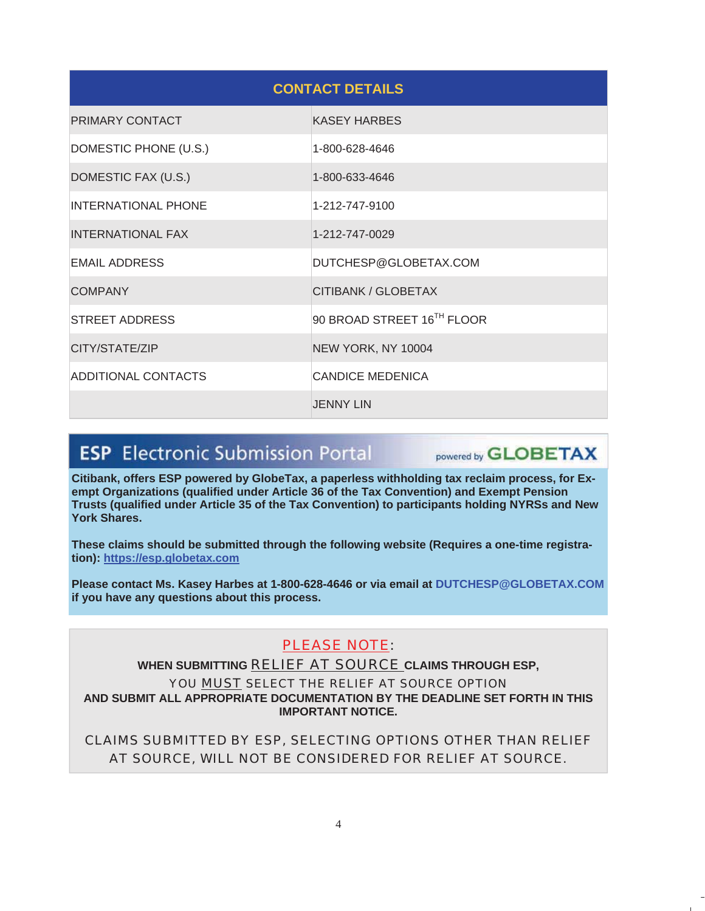| <b>CONTACT DETAILS</b>     |                            |  |  |
|----------------------------|----------------------------|--|--|
| PRIMARY CONTACT            | <b>KASEY HARBES</b>        |  |  |
| DOMESTIC PHONE (U.S.)      | 1-800-628-4646             |  |  |
| DOMESTIC FAX (U.S.)        | 1-800-633-4646             |  |  |
| <b>INTERNATIONAL PHONE</b> | 1-212-747-9100             |  |  |
| <b>INTERNATIONAL FAX</b>   | 1-212-747-0029             |  |  |
| <b>EMAIL ADDRESS</b>       | DUTCHESP@GLOBETAX.COM      |  |  |
| <b>COMPANY</b>             | CITIBANK / GLOBETAX        |  |  |
| <b>STREET ADDRESS</b>      | 90 BROAD STREET 16TH FLOOR |  |  |
| CITY/STATE/ZIP             | NEW YORK, NY 10004         |  |  |
| ADDITIONAL CONTACTS        | <b>CANDICE MEDENICA</b>    |  |  |
|                            | <b>JENNY LIN</b>           |  |  |

# **ESP** Electronic Submission Portal

powered by **GLOBETAX** 

**Citibank, offers ESP powered by GlobeTax, a paperless withholding tax reclaim process, for Exempt Organizations (qualified under Article 36 of the Tax Convention) and Exempt Pension Trusts (qualified under Article 35 of the Tax Convention) to participants holding NYRSs and New York Shares.** 

**These claims should be submitted through the following website (Requires a one-time registration): https://esp.globetax.com**

**Please contact Ms. Kasey Harbes at 1-800-628-4646 or via email at DUTCHESP@GLOBETAX.COM if you have any questions about this process.** 

## PLEASE NOTE:

**WHEN SUBMITTING** RELIEF AT SOURCE **CLAIMS THROUGH ESP,** 

YOU MUST SELECT THE RELIEF AT SOURCE OPTION **AND SUBMIT ALL APPROPRIATE DOCUMENTATION BY THE DEADLINE SET FORTH IN THIS IMPORTANT NOTICE.** 

CLAIMS SUBMITTED BY ESP, SELECTING OPTIONS OTHER THAN RELIEF AT SOURCE, WILL NOT BE CONSIDERED FOR RELIEF AT SOURCE.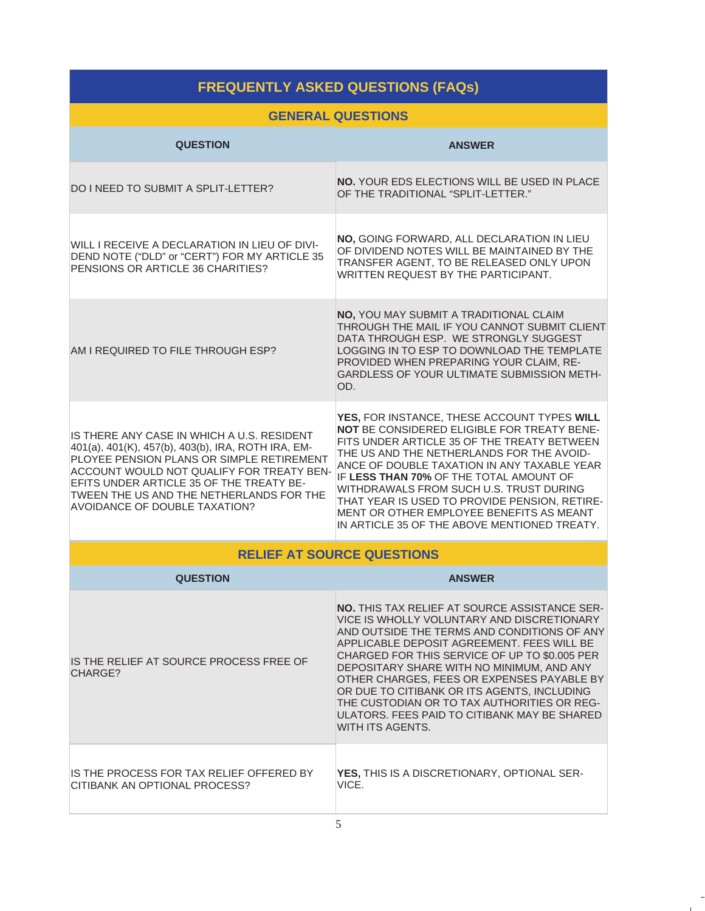## **FREQUENTLY ASKED QUESTIONS (FAQs)**

### **GENERAL QUESTIONS**

| <b>QUESTION</b>                                                                                                                                                                                                                                                                                                            | <b>ANSWER</b>                                                                                                                                                                                                                                                                                                                                                                                                                                                                                                 |  |  |
|----------------------------------------------------------------------------------------------------------------------------------------------------------------------------------------------------------------------------------------------------------------------------------------------------------------------------|---------------------------------------------------------------------------------------------------------------------------------------------------------------------------------------------------------------------------------------------------------------------------------------------------------------------------------------------------------------------------------------------------------------------------------------------------------------------------------------------------------------|--|--|
| DO I NEED TO SUBMIT A SPLIT-LETTER?                                                                                                                                                                                                                                                                                        | <b>NO. YOUR EDS ELECTIONS WILL BE USED IN PLACE</b><br>OF THE TRADITIONAL "SPLIT-LETTER."                                                                                                                                                                                                                                                                                                                                                                                                                     |  |  |
| WILL I RECEIVE A DECLARATION IN LIEU OF DIVI-<br>DEND NOTE ("DLD" or "CERT") FOR MY ARTICLE 35<br>PENSIONS OR ARTICLE 36 CHARITIES?                                                                                                                                                                                        | NO, GOING FORWARD, ALL DECLARATION IN LIEU<br>OF DIVIDEND NOTES WILL BE MAINTAINED BY THE<br>TRANSFER AGENT, TO BE RELEASED ONLY UPON<br>WRITTEN REQUEST BY THE PARTICIPANT.                                                                                                                                                                                                                                                                                                                                  |  |  |
| AM I REQUIRED TO FILE THROUGH ESP?                                                                                                                                                                                                                                                                                         | NO, YOU MAY SUBMIT A TRADITIONAL CLAIM<br>THROUGH THE MAIL IF YOU CANNOT SUBMIT CLIENT<br>DATA THROUGH ESP. WE STRONGLY SUGGEST<br>LOGGING IN TO ESP TO DOWNLOAD THE TEMPLATE<br>PROVIDED WHEN PREPARING YOUR CLAIM, RE-<br><b>GARDLESS OF YOUR ULTIMATE SUBMISSION METH-</b><br>OD.                                                                                                                                                                                                                          |  |  |
| IS THERE ANY CASE IN WHICH A U.S. RESIDENT<br>401(a), 401(K), 457(b), 403(b), IRA, ROTH IRA, EM-<br>PLOYEE PENSION PLANS OR SIMPLE RETIREMENT<br>ACCOUNT WOULD NOT QUALIFY FOR TREATY BEN-<br>EFITS UNDER ARTICLE 35 OF THE TREATY BE-<br>TWEEN THE US AND THE NETHERLANDS FOR THE<br><b>AVOIDANCE OF DOUBLE TAXATION?</b> | YES, FOR INSTANCE, THESE ACCOUNT TYPES WILL<br>NOT BE CONSIDERED ELIGIBLE FOR TREATY BENE-<br>FITS UNDER ARTICLE 35 OF THE TREATY BETWEEN<br>THE US AND THE NETHERLANDS FOR THE AVOID-<br>ANCE OF DOUBLE TAXATION IN ANY TAXABLE YEAR<br>IF LESS THAN 70% OF THE TOTAL AMOUNT OF<br>WITHDRAWALS FROM SUCH U.S. TRUST DURING<br>THAT YEAR IS USED TO PROVIDE PENSION, RETIRE-<br>MENT OR OTHER EMPLOYEE BENEFITS AS MEANT<br>IN ARTICLE 35 OF THE ABOVE MENTIONED TREATY.                                      |  |  |
|                                                                                                                                                                                                                                                                                                                            | <b>RELIEF AT SOURCE QUESTIONS</b>                                                                                                                                                                                                                                                                                                                                                                                                                                                                             |  |  |
| <b>QUESTION</b>                                                                                                                                                                                                                                                                                                            | <b>ANSWER</b>                                                                                                                                                                                                                                                                                                                                                                                                                                                                                                 |  |  |
| IS THE RELIEF AT SOURCE PROCESS FREE OF<br>CHARGE?                                                                                                                                                                                                                                                                         | <b>NO. THIS TAX RELIEF AT SOURCE ASSISTANCE SER-</b><br>VICE IS WHOLLY VOLUNTARY AND DISCRETIONARY<br>AND OUTSIDE THE TERMS AND CONDITIONS OF ANY<br>APPLICABLE DEPOSIT AGREEMENT. FEES WILL BE<br>CHARGED FOR THIS SERVICE OF UP TO \$0.005 PER<br>DEPOSITARY SHARE WITH NO MINIMUM, AND ANY<br>OTHER CHARGES, FEES OR EXPENSES PAYABLE BY<br>OR DUE TO CITIBANK OR ITS AGENTS, INCLUDING<br>THE CUSTODIAN OR TO TAX AUTHORITIES OR REG-<br>ULATORS. FEES PAID TO CITIBANK MAY BE SHARED<br>WITH ITS AGENTS. |  |  |
| IS THE PROCESS FOR TAX RELIEF OFFERED BY<br>ICITIBANK AN OPTIONAL PROCESS?                                                                                                                                                                                                                                                 | YES, THIS IS A DISCRETIONARY, OPTIONAL SER-<br>VICE.                                                                                                                                                                                                                                                                                                                                                                                                                                                          |  |  |

 $\frac{1}{1}$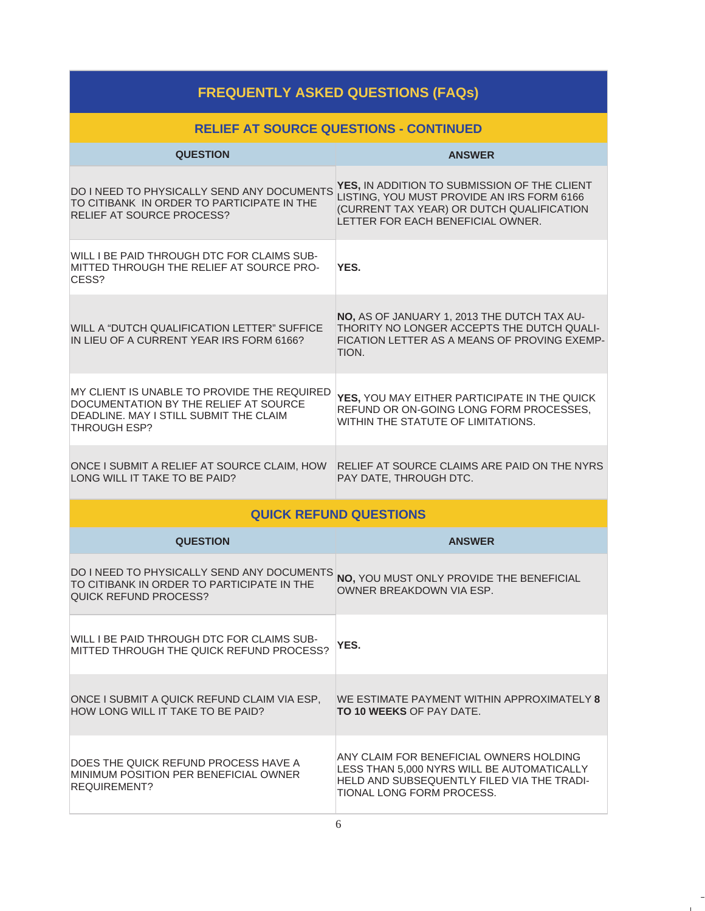| <b>FREQUENTLY ASKED QUESTIONS (FAQs)</b>                                                                                                              |                                                                                                                                                                              |  |  |
|-------------------------------------------------------------------------------------------------------------------------------------------------------|------------------------------------------------------------------------------------------------------------------------------------------------------------------------------|--|--|
|                                                                                                                                                       | <b>RELIEF AT SOURCE QUESTIONS - CONTINUED</b>                                                                                                                                |  |  |
| <b>QUESTION</b>                                                                                                                                       | <b>ANSWER</b>                                                                                                                                                                |  |  |
| DO I NEED TO PHYSICALLY SEND ANY DOCUMENTS<br>TO CITIBANK IN ORDER TO PARTICIPATE IN THE<br>RELIEF AT SOURCE PROCESS?                                 | YES, IN ADDITION TO SUBMISSION OF THE CLIENT<br>LISTING, YOU MUST PROVIDE AN IRS FORM 6166<br>(CURRENT TAX YEAR) OR DUTCH QUALIFICATION<br>LETTER FOR EACH BENEFICIAL OWNER. |  |  |
| WILL I BE PAID THROUGH DTC FOR CLAIMS SUB-<br>MITTED THROUGH THE RELIEF AT SOURCE PRO-<br>CESS?                                                       | YES.                                                                                                                                                                         |  |  |
| WILL A "DUTCH QUALIFICATION LETTER" SUFFICE<br>IN LIEU OF A CURRENT YEAR IRS FORM 6166?                                                               | NO, AS OF JANUARY 1, 2013 THE DUTCH TAX AU-<br>THORITY NO LONGER ACCEPTS THE DUTCH QUALI-<br>FICATION LETTER AS A MEANS OF PROVING EXEMP-<br>TION.                           |  |  |
| MY CLIENT IS UNABLE TO PROVIDE THE REQUIRED<br>DOCUMENTATION BY THE RELIEF AT SOURCE<br>DEADLINE. MAY I STILL SUBMIT THE CLAIM<br><b>THROUGH ESP?</b> | YES, YOU MAY EITHER PARTICIPATE IN THE QUICK<br>REFUND OR ON-GOING LONG FORM PROCESSES,<br>WITHIN THE STATUTE OF LIMITATIONS.                                                |  |  |
| ONCE I SUBMIT A RELIEF AT SOURCE CLAIM, HOW<br>LONG WILL IT TAKE TO BE PAID?                                                                          | RELIEF AT SOURCE CLAIMS ARE PAID ON THE NYRS<br>PAY DATE, THROUGH DTC.                                                                                                       |  |  |
|                                                                                                                                                       | <b>QUICK REFUND QUESTIONS</b>                                                                                                                                                |  |  |
| <b>QUESTION</b>                                                                                                                                       | <b>ANSWER</b>                                                                                                                                                                |  |  |
| DO I NEED TO PHYSICALLY SEND ANY DOCUMENTS<br>TO CITIBANK IN ORDER TO PARTICIPATE IN THE<br><b>QUICK REFUND PROCESS?</b>                              | NO, YOU MUST ONLY PROVIDE THE BENEFICIAL<br>OWNER BREAKDOWN VIA ESP.                                                                                                         |  |  |
| WILL I BE PAID THROUGH DTC FOR CLAIMS SUB-<br>MITTED THROUGH THE QUICK REFUND PROCESS?                                                                | YES.                                                                                                                                                                         |  |  |
| ONCE I SUBMIT A QUICK REFUND CLAIM VIA ESP,<br>HOW LONG WILL IT TAKE TO BE PAID?                                                                      | WE ESTIMATE PAYMENT WITHIN APPROXIMATELY 8<br><b>TO 10 WEEKS OF PAY DATE.</b>                                                                                                |  |  |
| DOES THE QUICK REFUND PROCESS HAVE A<br>MINIMUM POSITION PER BENEFICIAL OWNER<br><b>REQUIREMENT?</b>                                                  | ANY CLAIM FOR BENEFICIAL OWNERS HOLDING<br>LESS THAN 5,000 NYRS WILL BE AUTOMATICALLY<br>HELD AND SUBSEQUENTLY FILED VIA THE TRADI-<br>TIONAL LONG FORM PROCESS.             |  |  |

 $\frac{1}{\sqrt{2}}$  $\mathbb{R}^n$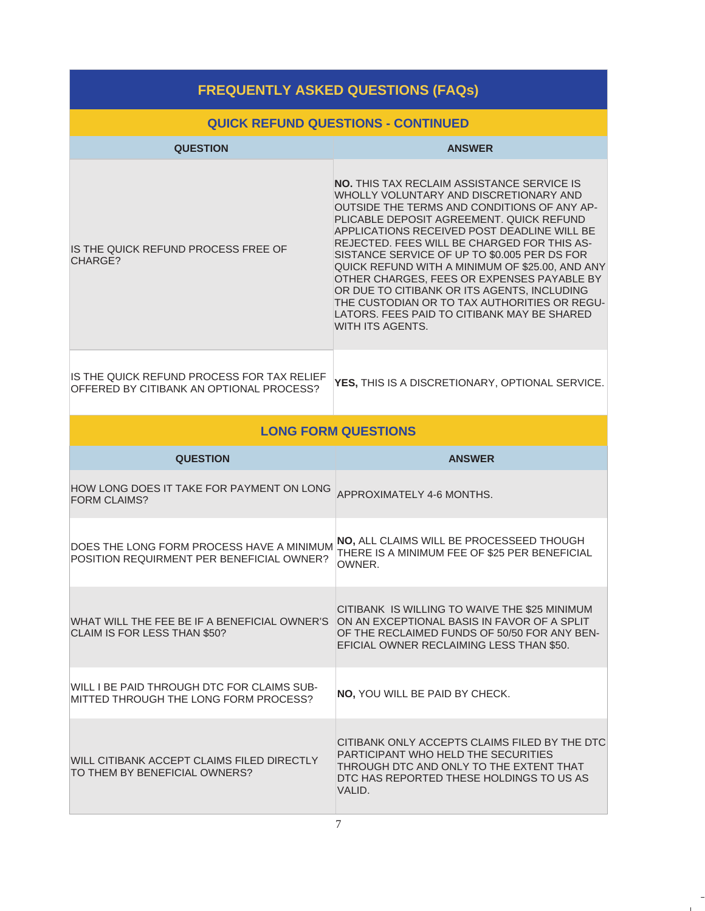| <b>FREQUENTLY ASKED QUESTIONS (FAQs)</b>                                               |                                                                                                                                                                                                                                                                                                                                                                                                                                                                                                                                                                                                                |  |  |  |
|----------------------------------------------------------------------------------------|----------------------------------------------------------------------------------------------------------------------------------------------------------------------------------------------------------------------------------------------------------------------------------------------------------------------------------------------------------------------------------------------------------------------------------------------------------------------------------------------------------------------------------------------------------------------------------------------------------------|--|--|--|
| <b>QUICK REFUND QUESTIONS - CONTINUED</b>                                              |                                                                                                                                                                                                                                                                                                                                                                                                                                                                                                                                                                                                                |  |  |  |
| <b>QUESTION</b>                                                                        | <b>ANSWER</b>                                                                                                                                                                                                                                                                                                                                                                                                                                                                                                                                                                                                  |  |  |  |
| IS THE QUICK REFUND PROCESS FREE OF<br>CHARGE?                                         | <b>NO.</b> THIS TAX RECLAIM ASSISTANCE SERVICE IS<br>WHOLLY VOLUNTARY AND DISCRETIONARY AND<br>OUTSIDE THE TERMS AND CONDITIONS OF ANY AP-<br>PLICABLE DEPOSIT AGREEMENT, QUICK REFUND<br>APPLICATIONS RECEIVED POST DEADLINE WILL BE<br>REJECTED. FEES WILL BE CHARGED FOR THIS AS-<br>SISTANCE SERVICE OF UP TO \$0.005 PER DS FOR<br>QUICK REFUND WITH A MINIMUM OF \$25.00, AND ANY<br>OTHER CHARGES, FEES OR EXPENSES PAYABLE BY<br>OR DUE TO CITIBANK OR ITS AGENTS, INCLUDING<br>THE CUSTODIAN OR TO TAX AUTHORITIES OR REGU-<br>LATORS. FEES PAID TO CITIBANK MAY BE SHARED<br><b>WITH ITS AGENTS.</b> |  |  |  |
| IS THE QUICK REFUND PROCESS FOR TAX RELIEF<br>OFFERED BY CITIBANK AN OPTIONAL PROCESS? | YES, THIS IS A DISCRETIONARY, OPTIONAL SERVICE.                                                                                                                                                                                                                                                                                                                                                                                                                                                                                                                                                                |  |  |  |
|                                                                                        | <b>LONG FORM QUESTIONS</b>                                                                                                                                                                                                                                                                                                                                                                                                                                                                                                                                                                                     |  |  |  |
| <b>QUESTION</b>                                                                        | <b>ANSWER</b>                                                                                                                                                                                                                                                                                                                                                                                                                                                                                                                                                                                                  |  |  |  |
| HOW LONG DOES IT TAKE FOR PAYMENT ON LONG<br><b>FORM CLAIMS?</b>                       | APPROXIMATELY 4-6 MONTHS.                                                                                                                                                                                                                                                                                                                                                                                                                                                                                                                                                                                      |  |  |  |
| DOES THE LONG FORM PROCESS HAVE A MINIMUM<br>POSITION REQUIRMENT PER BENEFICIAL OWNER? | NO, ALL CLAIMS WILL BE PROCESSEED THOUGH<br>THERE IS A MINIMUM FEE OF \$25 PER BENEFICIAL<br>OWNER.                                                                                                                                                                                                                                                                                                                                                                                                                                                                                                            |  |  |  |
| WHAT WILL THE FEE BE IF A BENEFICIAL OWNER'S<br>CLAIM IS FOR LESS THAN \$50?           | CITIBANK IS WILLING TO WAIVE THE \$25 MINIMUM<br>ON AN EXCEPTIONAL BASIS IN FAVOR OF A SPLIT<br>OF THE RECLAIMED FUNDS OF 50/50 FOR ANY BEN-<br>EFICIAL OWNER RECLAIMING LESS THAN \$50.                                                                                                                                                                                                                                                                                                                                                                                                                       |  |  |  |
| WILL I BE PAID THROUGH DTC FOR CLAIMS SUB-<br>MITTED THROUGH THE LONG FORM PROCESS?    | NO, YOU WILL BE PAID BY CHECK.                                                                                                                                                                                                                                                                                                                                                                                                                                                                                                                                                                                 |  |  |  |
| WILL CITIBANK ACCEPT CLAIMS FILED DIRECTLY<br>TO THEM BY BENEFICIAL OWNERS?            | CITIBANK ONLY ACCEPTS CLAIMS FILED BY THE DTC<br>PARTICIPANT WHO HELD THE SECURITIES<br>THROUGH DTC AND ONLY TO THE EXTENT THAT<br>DTC HAS REPORTED THESE HOLDINGS TO US AS<br>VALID.                                                                                                                                                                                                                                                                                                                                                                                                                          |  |  |  |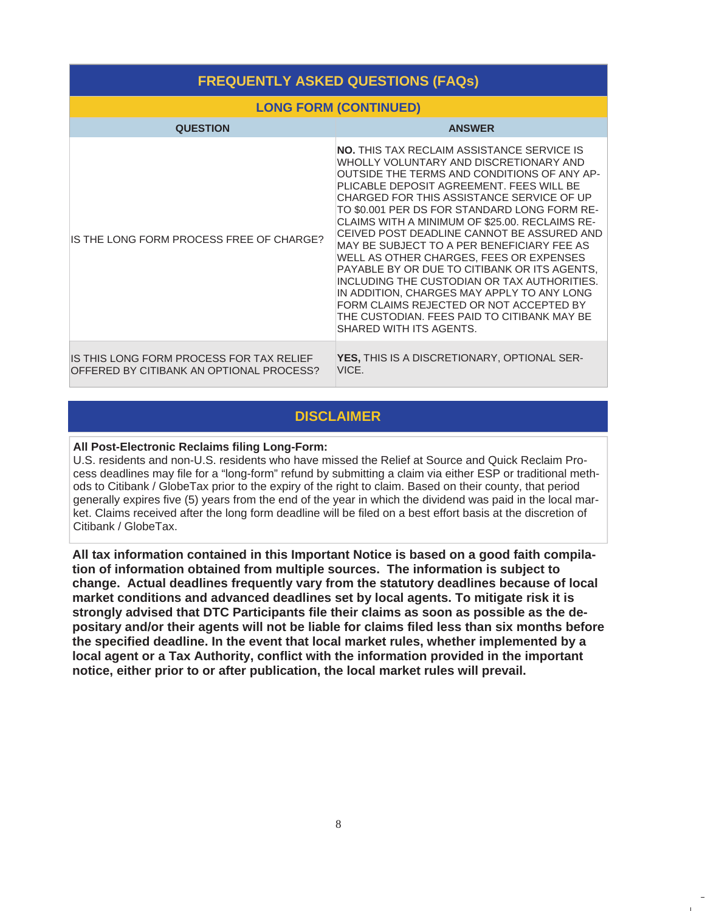| <b>FREQUENTLY ASKED QUESTIONS (FAQs)</b>                                             |                                                                                                                                                                                                                                                                                                                                                                                                                                                                                                                                                                                                                                                                                                                                                |  |  |
|--------------------------------------------------------------------------------------|------------------------------------------------------------------------------------------------------------------------------------------------------------------------------------------------------------------------------------------------------------------------------------------------------------------------------------------------------------------------------------------------------------------------------------------------------------------------------------------------------------------------------------------------------------------------------------------------------------------------------------------------------------------------------------------------------------------------------------------------|--|--|
|                                                                                      | <b>LONG FORM (CONTINUED)</b>                                                                                                                                                                                                                                                                                                                                                                                                                                                                                                                                                                                                                                                                                                                   |  |  |
| <b>QUESTION</b>                                                                      | <b>ANSWER</b>                                                                                                                                                                                                                                                                                                                                                                                                                                                                                                                                                                                                                                                                                                                                  |  |  |
| IS THE LONG FORM PROCESS FREE OF CHARGE?                                             | <b>NO.</b> THIS TAX RECLAIM ASSISTANCE SERVICE IS<br>WHOLLY VOLUNTARY AND DISCRETIONARY AND<br>OUTSIDE THE TERMS AND CONDITIONS OF ANY AP-<br>PLICABLE DEPOSIT AGREEMENT. FEES WILL BE<br>CHARGED FOR THIS ASSISTANCE SERVICE OF UP<br>TO \$0.001 PER DS FOR STANDARD LONG FORM RE-<br>CLAIMS WITH A MINIMUM OF \$25.00. RECLAIMS RE-<br>CEIVED POST DEADLINE CANNOT BE ASSURED AND<br>MAY BE SUBJECT TO A PER BENEFICIARY FEE AS<br>WELL AS OTHER CHARGES, FEES OR EXPENSES<br>PAYABLE BY OR DUE TO CITIBANK OR ITS AGENTS.<br>INCLUDING THE CUSTODIAN OR TAX AUTHORITIES.<br>IN ADDITION, CHARGES MAY APPLY TO ANY LONG<br>FORM CLAIMS REJECTED OR NOT ACCEPTED BY<br>THE CUSTODIAN. FEES PAID TO CITIBANK MAY BE<br>SHARED WITH ITS AGENTS. |  |  |
| IS THIS LONG FORM PROCESS FOR TAX RELIEF<br>OFFERED BY CITIBANK AN OPTIONAL PROCESS? | YES, THIS IS A DISCRETIONARY, OPTIONAL SER-<br>VICE.                                                                                                                                                                                                                                                                                                                                                                                                                                                                                                                                                                                                                                                                                           |  |  |

### **DISCLAIMER**

#### **All Post-Electronic Reclaims filing Long-Form:**

U.S. residents and non-U.S. residents who have missed the Relief at Source and Quick Reclaim Process deadlines may file for a "long-form" refund by submitting a claim via either ESP or traditional methods to Citibank / GlobeTax prior to the expiry of the right to claim. Based on their county, that period generally expires five (5) years from the end of the year in which the dividend was paid in the local market. Claims received after the long form deadline will be filed on a best effort basis at the discretion of Citibank / GlobeTax.

**All tax information contained in this Important Notice is based on a good faith compilation of information obtained from multiple sources. The information is subject to change. Actual deadlines frequently vary from the statutory deadlines because of local market conditions and advanced deadlines set by local agents. To mitigate risk it is strongly advised that DTC Participants file their claims as soon as possible as the depositary and/or their agents will not be liable for claims filed less than six months before the specified deadline. In the event that local market rules, whether implemented by a local agent or a Tax Authority, conflict with the information provided in the important notice, either prior to or after publication, the local market rules will prevail.**